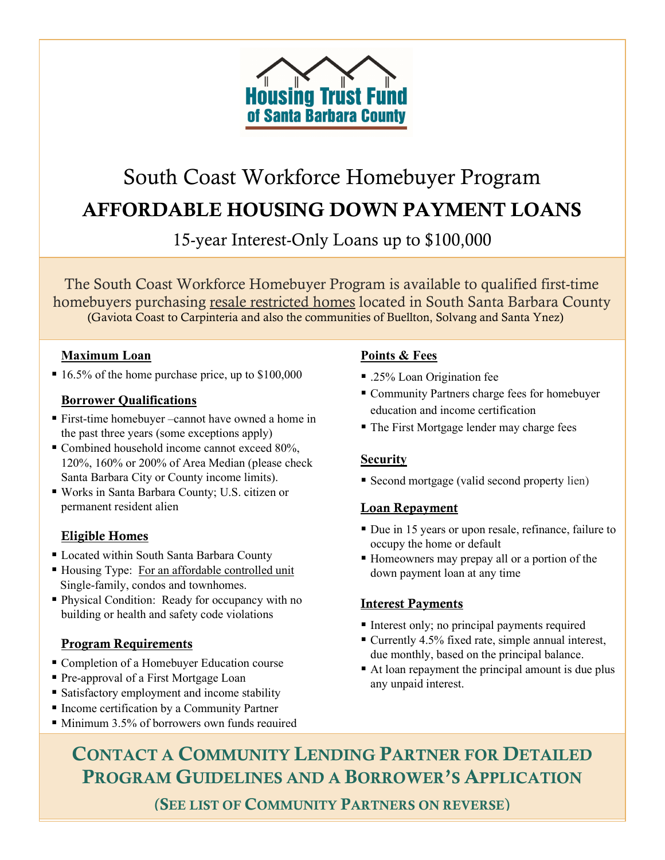

# South Coast Workforce Homebuyer Program AFFORDABLE HOUSING DOWN PAYMENT LOANS

15-year Interest-Only Loans up to \$100,000

The South Coast Workforce Homebuyer Program is available to qualified first-time homebuyers purchasing resale restricted homes located in South Santa Barbara County (Gaviota Coast to Carpinteria and also the communities of Buellton, Solvang and Santa Ynez)

#### Maximum Loan

■ 16.5% of the home purchase price, up to \$100,000

### Borrower Qualifications

- First-time homebuyer –cannot have owned a home in the past three years (some exceptions apply)
- Combined household income cannot exceed 80%, 120%, 160% or 200% of Area Median (please check Santa Barbara City or County income limits).
- Works in Santa Barbara County; U.S. citizen or permanent resident alien

# Eligible Homes

- Located within South Santa Barbara County
- Housing Type: For an affordable controlled unit Single-family, condos and townhomes.
- Physical Condition: Ready for occupancy with no building or health and safety code violations

#### Program Requirements

- Completion of a Homebuyer Education course
- Pre-approval of a First Mortgage Loan
- **Satisfactory employment and income stability**
- Income certification by a Community Partner
- Minimum 3.5% of borrowers own funds required

### Points & Fees

- .25% Loan Origination fee
- Community Partners charge fees for homebuyer education and income certification
- The First Mortgage lender may charge fees

# **Security**

Second mortgage (valid second property lien)

# Loan Repayment

- Due in 15 years or upon resale, refinance, failure to occupy the home or default
- Homeowners may prepay all or a portion of the down payment loan at any time

# Interest Payments

- Interest only; no principal payments required
- Currently 4.5% fixed rate, simple annual interest, due monthly, based on the principal balance.
- At loan repayment the principal amount is due plus any unpaid interest.

CONTACT A COMMUNITY LENDING PARTNER FOR DETAILED PROGRAM GUIDELINES AND A BORROWER'S APPLICATION

(SEE LIST OF COMMUNITY PARTNERS ON REVERSE)